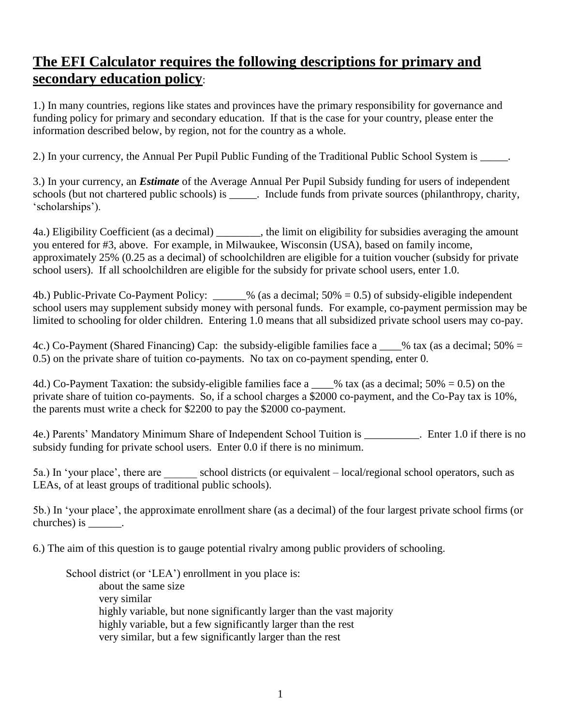## **The EFI Calculator requires the following descriptions for primary and secondary education policy**:

1.) In many countries, regions like states and provinces have the primary responsibility for governance and funding policy for primary and secondary education. If that is the case for your country, please enter the information described below, by region, not for the country as a whole.

2.) In your currency, the Annual Per Pupil Public Funding of the Traditional Public School System is \_\_\_\_\_.

3.) In your currency, an *Estimate* of the Average Annual Per Pupil Subsidy funding for users of independent schools (but not chartered public schools) is \_\_\_\_\_. Include funds from private sources (philanthropy, charity, 'scholarships').

4a.) Eligibility Coefficient (as a decimal) \_\_\_\_\_\_\_\_, the limit on eligibility for subsidies averaging the amount you entered for #3, above. For example, in Milwaukee, Wisconsin (USA), based on family income, approximately 25% (0.25 as a decimal) of schoolchildren are eligible for a tuition voucher (subsidy for private school users). If all schoolchildren are eligible for the subsidy for private school users, enter 1.0.

4b.) Public-Private Co-Payment Policy: \_\_\_\_\_\_% (as a decimal; 50% = 0.5) of subsidy-eligible independent school users may supplement subsidy money with personal funds. For example, co-payment permission may be limited to schooling for older children. Entering 1.0 means that all subsidized private school users may co-pay.

4c.) Co-Payment (Shared Financing) Cap: the subsidy-eligible families face a \_\_\_% tax (as a decimal; 50% = 0.5) on the private share of tuition co-payments. No tax on co-payment spending, enter 0.

4d.) Co-Payment Taxation: the subsidy-eligible families face a  $\%$  tax (as a decimal; 50% = 0.5) on the private share of tuition co-payments. So, if a school charges a \$2000 co-payment, and the Co-Pay tax is 10%, the parents must write a check for \$2200 to pay the \$2000 co-payment.

4e.) Parents' Mandatory Minimum Share of Independent School Tuition is Finter 1.0 if there is no subsidy funding for private school users. Enter 0.0 if there is no minimum.

5a.) In 'your place', there are school districts (or equivalent – local/regional school operators, such as LEAs, of at least groups of traditional public schools).

5b.) In 'your place', the approximate enrollment share (as a decimal) of the four largest private school firms (or churches) is  $\_\_\_\_\_\_\_\_\_\$ .

6.) The aim of this question is to gauge potential rivalry among public providers of schooling.

School district (or 'LEA') enrollment in you place is: about the same size very similar highly variable, but none significantly larger than the vast majority highly variable, but a few significantly larger than the rest very similar, but a few significantly larger than the rest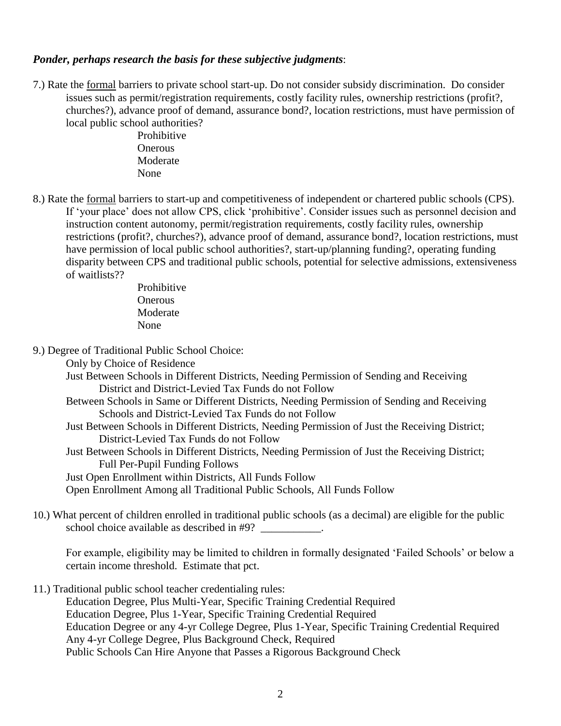## *Ponder, perhaps research the basis for these subjective judgments*:

7.) Rate the formal barriers to private school start-up. Do not consider subsidy discrimination. Do consider issues such as permit/registration requirements, costly facility rules, ownership restrictions (profit?, churches?), advance proof of demand, assurance bond?, location restrictions, must have permission of local public school authorities?

 Prohibitive **Onerous**  Moderate None

8.) Rate the formal barriers to start-up and competitiveness of independent or chartered public schools (CPS). If 'your place' does not allow CPS, click 'prohibitive'. Consider issues such as personnel decision and instruction content autonomy, permit/registration requirements, costly facility rules, ownership restrictions (profit?, churches?), advance proof of demand, assurance bond?, location restrictions, must have permission of local public school authorities?, start-up/planning funding?, operating funding disparity between CPS and traditional public schools, potential for selective admissions, extensiveness of waitlists??

> Prohibitive **Onerous**  Moderate None

9.) Degree of Traditional Public School Choice:

Only by Choice of Residence

Just Between Schools in Different Districts, Needing Permission of Sending and Receiving District and District-Levied Tax Funds do not Follow

- Between Schools in Same or Different Districts, Needing Permission of Sending and Receiving Schools and District-Levied Tax Funds do not Follow
- Just Between Schools in Different Districts, Needing Permission of Just the Receiving District; District-Levied Tax Funds do not Follow

Just Between Schools in Different Districts, Needing Permission of Just the Receiving District; Full Per-Pupil Funding Follows

Just Open Enrollment within Districts, All Funds Follow

Open Enrollment Among all Traditional Public Schools, All Funds Follow

10.) What percent of children enrolled in traditional public schools (as a decimal) are eligible for the public school choice available as described in #9? \_\_\_\_\_\_\_\_\_\_.

For example, eligibility may be limited to children in formally designated 'Failed Schools' or below a certain income threshold. Estimate that pct.

11.) Traditional public school teacher credentialing rules:

Education Degree, Plus Multi-Year, Specific Training Credential Required Education Degree, Plus 1-Year, Specific Training Credential Required Education Degree or any 4-yr College Degree, Plus 1-Year, Specific Training Credential Required Any 4-yr College Degree, Plus Background Check, Required Public Schools Can Hire Anyone that Passes a Rigorous Background Check